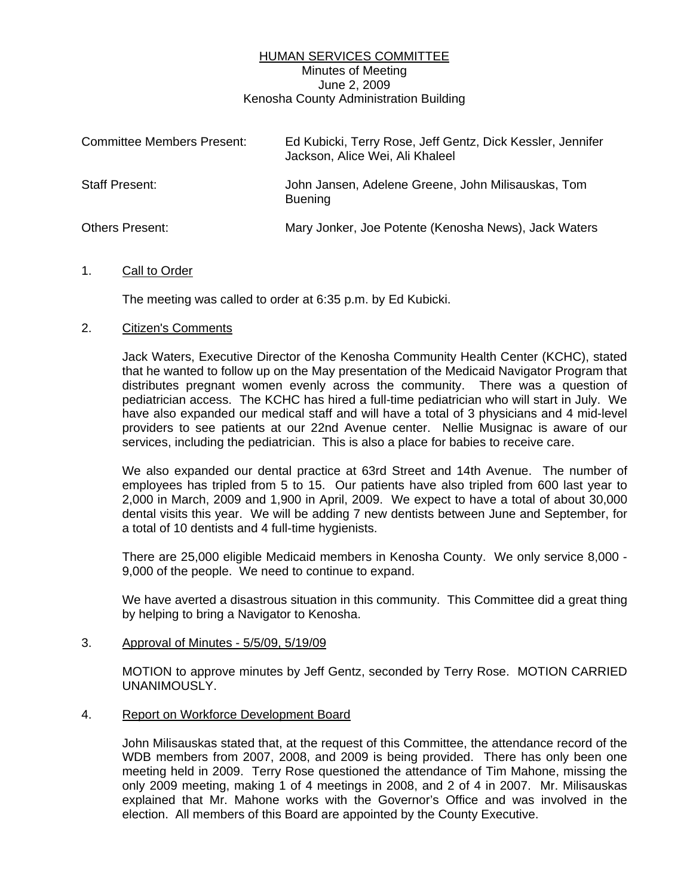## HUMAN SERVICES COMMITTEE Minutes of Meeting June 2, 2009 Kenosha County Administration Building

| <b>Committee Members Present:</b> | Ed Kubicki, Terry Rose, Jeff Gentz, Dick Kessler, Jennifer<br>Jackson, Alice Wei, Ali Khaleel |
|-----------------------------------|-----------------------------------------------------------------------------------------------|
| <b>Staff Present:</b>             | John Jansen, Adelene Greene, John Milisauskas, Tom<br><b>Buening</b>                          |
| <b>Others Present:</b>            | Mary Jonker, Joe Potente (Kenosha News), Jack Waters                                          |

### 1. Call to Order

The meeting was called to order at 6:35 p.m. by Ed Kubicki.

## 2. Citizen's Comments

 Jack Waters, Executive Director of the Kenosha Community Health Center (KCHC), stated that he wanted to follow up on the May presentation of the Medicaid Navigator Program that distributes pregnant women evenly across the community. There was a question of pediatrician access. The KCHC has hired a full-time pediatrician who will start in July. We have also expanded our medical staff and will have a total of 3 physicians and 4 mid-level providers to see patients at our 22nd Avenue center. Nellie Musignac is aware of our services, including the pediatrician. This is also a place for babies to receive care.

 We also expanded our dental practice at 63rd Street and 14th Avenue. The number of employees has tripled from 5 to 15. Our patients have also tripled from 600 last year to 2,000 in March, 2009 and 1,900 in April, 2009. We expect to have a total of about 30,000 dental visits this year. We will be adding 7 new dentists between June and September, for a total of 10 dentists and 4 full-time hygienists.

 There are 25,000 eligible Medicaid members in Kenosha County. We only service 8,000 - 9,000 of the people. We need to continue to expand.

 We have averted a disastrous situation in this community. This Committee did a great thing by helping to bring a Navigator to Kenosha.

### 3. Approval of Minutes - 5/5/09, 5/19/09

 MOTION to approve minutes by Jeff Gentz, seconded by Terry Rose. MOTION CARRIED UNANIMOUSLY.

### 4. Report on Workforce Development Board

 John Milisauskas stated that, at the request of this Committee, the attendance record of the WDB members from 2007, 2008, and 2009 is being provided. There has only been one meeting held in 2009. Terry Rose questioned the attendance of Tim Mahone, missing the only 2009 meeting, making 1 of 4 meetings in 2008, and 2 of 4 in 2007. Mr. Milisauskas explained that Mr. Mahone works with the Governor's Office and was involved in the election. All members of this Board are appointed by the County Executive.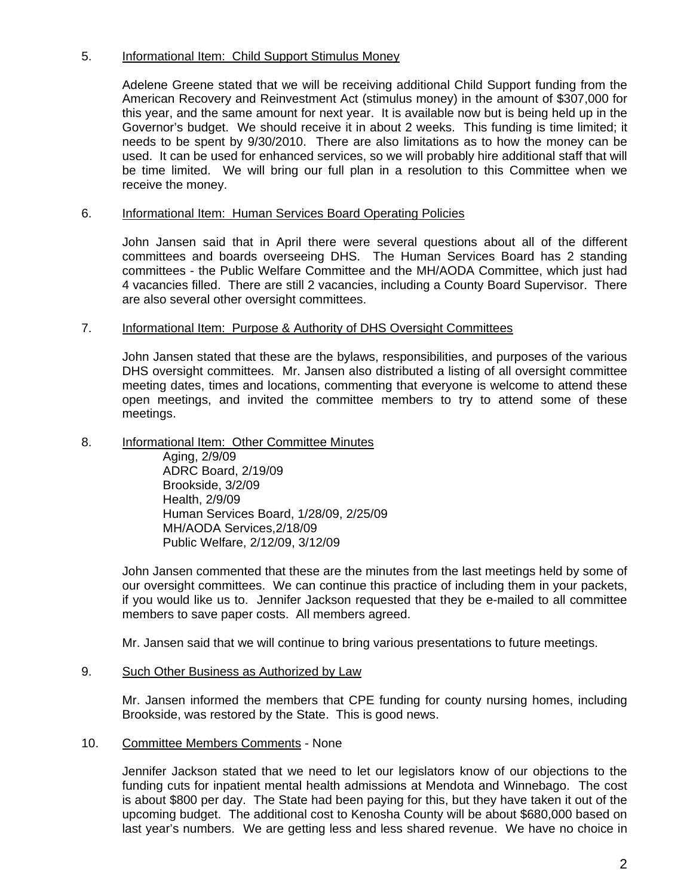# 5. Informational Item: Child Support Stimulus Money

 Adelene Greene stated that we will be receiving additional Child Support funding from the American Recovery and Reinvestment Act (stimulus money) in the amount of \$307,000 for this year, and the same amount for next year. It is available now but is being held up in the Governor's budget. We should receive it in about 2 weeks. This funding is time limited; it needs to be spent by 9/30/2010. There are also limitations as to how the money can be used. It can be used for enhanced services, so we will probably hire additional staff that will be time limited. We will bring our full plan in a resolution to this Committee when we receive the money.

# 6. Informational Item: Human Services Board Operating Policies

 John Jansen said that in April there were several questions about all of the different committees and boards overseeing DHS. The Human Services Board has 2 standing committees - the Public Welfare Committee and the MH/AODA Committee, which just had 4 vacancies filled. There are still 2 vacancies, including a County Board Supervisor. There are also several other oversight committees.

## 7. Informational Item: Purpose & Authority of DHS Oversight Committees

 John Jansen stated that these are the bylaws, responsibilities, and purposes of the various DHS oversight committees. Mr. Jansen also distributed a listing of all oversight committee meeting dates, times and locations, commenting that everyone is welcome to attend these open meetings, and invited the committee members to try to attend some of these meetings.

## 8. Informational Item: Other Committee Minutes

 Aging, 2/9/09 ADRC Board, 2/19/09 Brookside, 3/2/09 Health, 2/9/09 Human Services Board, 1/28/09, 2/25/09 MH/AODA Services,2/18/09 Public Welfare, 2/12/09, 3/12/09

 John Jansen commented that these are the minutes from the last meetings held by some of our oversight committees. We can continue this practice of including them in your packets, if you would like us to. Jennifer Jackson requested that they be e-mailed to all committee members to save paper costs. All members agreed.

Mr. Jansen said that we will continue to bring various presentations to future meetings.

### 9. Such Other Business as Authorized by Law

 Mr. Jansen informed the members that CPE funding for county nursing homes, including Brookside, was restored by the State. This is good news.

### 10. Committee Members Comments - None

 Jennifer Jackson stated that we need to let our legislators know of our objections to the funding cuts for inpatient mental health admissions at Mendota and Winnebago. The cost is about \$800 per day. The State had been paying for this, but they have taken it out of the upcoming budget. The additional cost to Kenosha County will be about \$680,000 based on last year's numbers. We are getting less and less shared revenue. We have no choice in